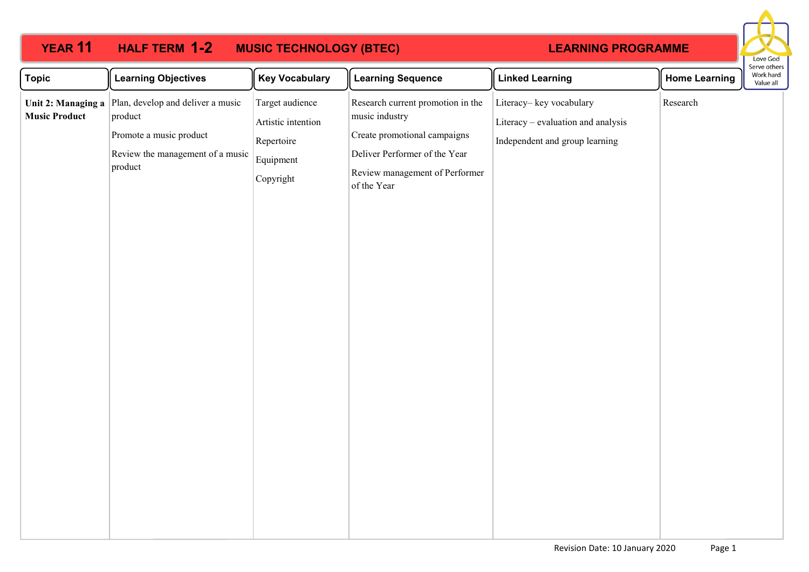### **YEAR 11 HALF TERM 1-2 MUSIC TECHNOLOGY (BTEC) 12** HALF TERM 1-2

## **LEARNING PROGRAMME**



| <b>Topic</b>         | <b>Learning Objectives</b>                                                                                                                        | <b>Key Vocabulary</b>                                                         | <b>Learning Sequence</b>                                                                                                                                              | <b>Linked Learning</b>                                                                          | <b>Home Learning</b> | בו אב טנווכו ב<br>Work hard<br>Value all |
|----------------------|---------------------------------------------------------------------------------------------------------------------------------------------------|-------------------------------------------------------------------------------|-----------------------------------------------------------------------------------------------------------------------------------------------------------------------|-------------------------------------------------------------------------------------------------|----------------------|------------------------------------------|
| <b>Music Product</b> | Unit 2: Managing a $\vert$ Plan, develop and deliver a music<br>product<br>Promote a music product<br>Review the management of a music<br>product | Target audience<br>Artistic intention<br>Repertoire<br>Equipment<br>Copyright | Research current promotion in the<br>music industry<br>Create promotional campaigns<br>Deliver Performer of the Year<br>Review management of Performer<br>of the Year | Literacy-key vocabulary<br>Literacy - evaluation and analysis<br>Independent and group learning | Research             |                                          |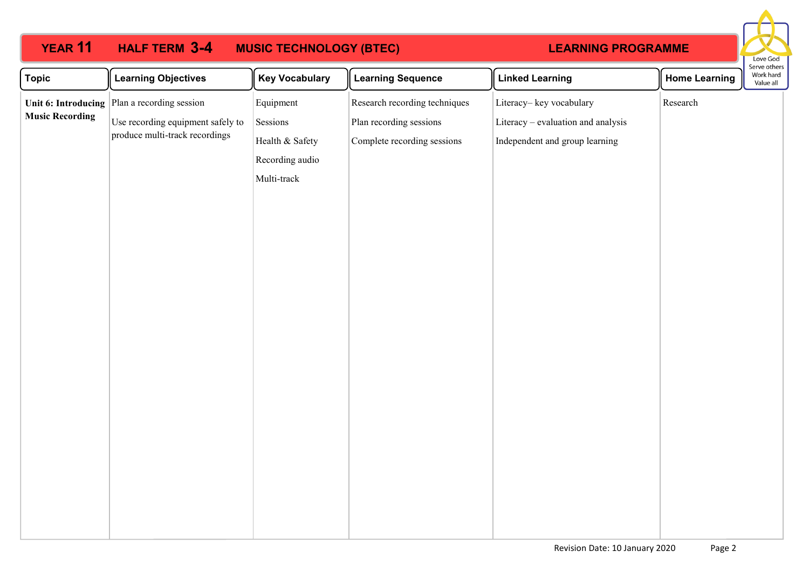### **YEAR 11 HALF TERM 3-4 MUSIC TECHNOLOGY (BTEC) 3-4**

# **LEARNING PROGRAMME**



| <b>Topic</b>           | <b>Learning Objectives</b>                                          | <b>Key Vocabulary</b> | <b>Learning Sequence</b>      | <b>Linked Learning</b>             | <b>Home Learning</b> | serve others<br>Work hard<br>Value all |
|------------------------|---------------------------------------------------------------------|-----------------------|-------------------------------|------------------------------------|----------------------|----------------------------------------|
|                        | Unit 6: Introducing $\vert$ Plan a recording session                | Equipment             | Research recording techniques | Literacy-key vocabulary            | Research             |                                        |
| <b>Music Recording</b> | Use recording equipment safely to<br>produce multi-track recordings | Sessions              | Plan recording sessions       | Literacy - evaluation and analysis |                      |                                        |
|                        |                                                                     | Health & Safety       | Complete recording sessions   | Independent and group learning     |                      |                                        |
|                        |                                                                     | Recording audio       |                               |                                    |                      |                                        |
|                        |                                                                     | Multi-track           |                               |                                    |                      |                                        |
|                        |                                                                     |                       |                               |                                    |                      |                                        |
|                        |                                                                     |                       |                               |                                    |                      |                                        |
|                        |                                                                     |                       |                               |                                    |                      |                                        |
|                        |                                                                     |                       |                               |                                    |                      |                                        |
|                        |                                                                     |                       |                               |                                    |                      |                                        |
|                        |                                                                     |                       |                               |                                    |                      |                                        |
|                        |                                                                     |                       |                               |                                    |                      |                                        |
|                        |                                                                     |                       |                               |                                    |                      |                                        |
|                        |                                                                     |                       |                               |                                    |                      |                                        |
|                        |                                                                     |                       |                               |                                    |                      |                                        |
|                        |                                                                     |                       |                               |                                    |                      |                                        |
|                        |                                                                     |                       |                               |                                    |                      |                                        |
|                        |                                                                     |                       |                               |                                    |                      |                                        |
|                        |                                                                     |                       |                               |                                    |                      |                                        |
|                        |                                                                     |                       |                               |                                    |                      |                                        |
|                        |                                                                     |                       |                               |                                    |                      |                                        |
|                        |                                                                     |                       |                               |                                    |                      |                                        |
|                        |                                                                     |                       |                               |                                    |                      |                                        |